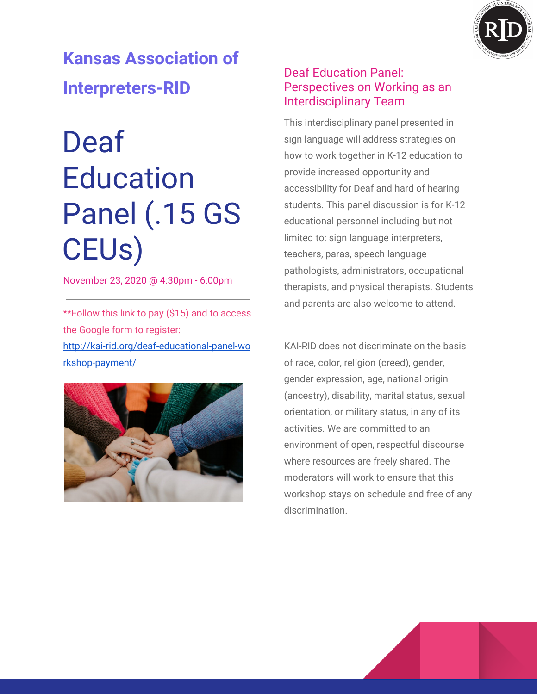

**Kansas Association of Interpreters-RID**

## Deaf **Education** Panel (.15 GS CEUs)

November 23, 2020 @ 4:30pm - 6:00pm

\*\*Follow this link to pay (\$15) and to access the Google form to register: [http://kai-rid.org/deaf-educational-panel-wo](http://kai-rid.org/deaf-educational-panel-workshop-payment/) [rkshop-payment/](http://kai-rid.org/deaf-educational-panel-workshop-payment/)



## Deaf Education Panel: Perspectives on Working as an Interdisciplinary Team

This interdisciplinary panel presented in sign language will address strategies on how to work together in K-12 education to provide increased opportunity and accessibility for Deaf and hard of hearing students. This panel discussion is for K-12 educational personnel including but not limited to: sign language interpreters, teachers, paras, speech language pathologists, administrators, occupational therapists, and physical therapists. Students and parents are also welcome to attend.

KAI-RID does not discriminate on the basis of race, color, religion (creed), gender, gender expression, age, national origin (ancestry), disability, marital status, sexual orientation, or military status, in any of its activities. We are committed to an environment of open, respectful discourse where resources are freely shared. The moderators will work to ensure that this workshop stays on schedule and free of any discrimination.